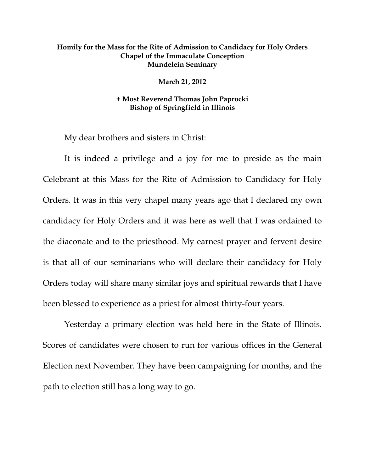## **Homily for the Mass for the Rite of Admission to Candidacy for Holy Orders Chapel of the Immaculate Conception Mundelein Seminary**

**March 21, 2012** 

## **+ Most Reverend Thomas John Paprocki Bishop of Springfield in Illinois**

My dear brothers and sisters in Christ:

It is indeed a privilege and a joy for me to preside as the main Celebrant at this Mass for the Rite of Admission to Candidacy for Holy Orders. It was in this very chapel many years ago that I declared my own candidacy for Holy Orders and it was here as well that I was ordained to the diaconate and to the priesthood. My earnest prayer and fervent desire is that all of our seminarians who will declare their candidacy for Holy Orders today will share many similar joys and spiritual rewards that I have been blessed to experience as a priest for almost thirty-four years.

 Yesterday a primary election was held here in the State of Illinois. Scores of candidates were chosen to run for various offices in the General Election next November. They have been campaigning for months, and the path to election still has a long way to go.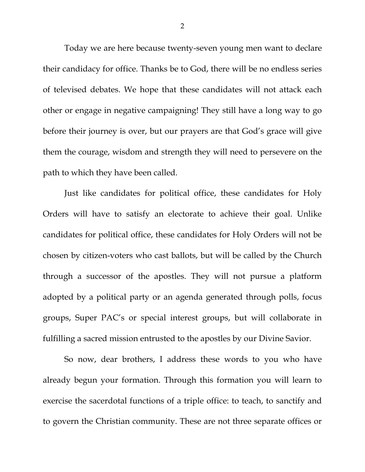Today we are here because twenty-seven young men want to declare their candidacy for office. Thanks be to God, there will be no endless series of televised debates. We hope that these candidates will not attack each other or engage in negative campaigning! They still have a long way to go before their journey is over, but our prayers are that God's grace will give them the courage, wisdom and strength they will need to persevere on the path to which they have been called.

Just like candidates for political office, these candidates for Holy Orders will have to satisfy an electorate to achieve their goal. Unlike candidates for political office, these candidates for Holy Orders will not be chosen by citizen-voters who cast ballots, but will be called by the Church through a successor of the apostles. They will not pursue a platform adopted by a political party or an agenda generated through polls, focus groups, Super PAC's or special interest groups, but will collaborate in fulfilling a sacred mission entrusted to the apostles by our Divine Savior.

So now, dear brothers, I address these words to you who have already begun your formation. Through this formation you will learn to exercise the sacerdotal functions of a triple office: to teach, to sanctify and to govern the Christian community. These are not three separate offices or

2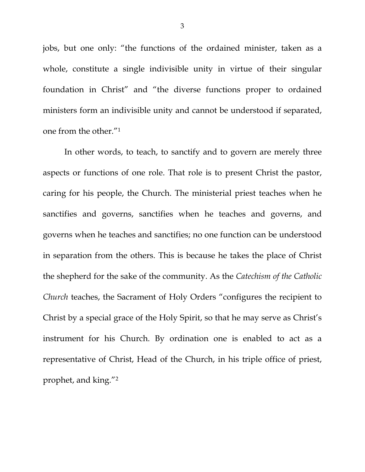jobs, but one only: "the functions of the ordained minister, taken as a whole, constitute a single indivisible unity in virtue of their singular foundation in Christ" and "the diverse functions proper to ordained ministers form an indivisible unity and cannot be understood if separated, one from the other."1

In other words, to teach, to sanctify and to govern are merely three aspects or functions of one role. That role is to present Christ the pastor, caring for his people, the Church. The ministerial priest teaches when he sanctifies and governs, sanctifies when he teaches and governs, and governs when he teaches and sanctifies; no one function can be understood in separation from the others. This is because he takes the place of Christ the shepherd for the sake of the community. As the *Catechism of the Catholic Church* teaches, the Sacrament of Holy Orders "configures the recipient to Christ by a special grace of the Holy Spirit, so that he may serve as Christ's instrument for his Church. By ordination one is enabled to act as a representative of Christ, Head of the Church, in his triple office of priest, prophet, and king."2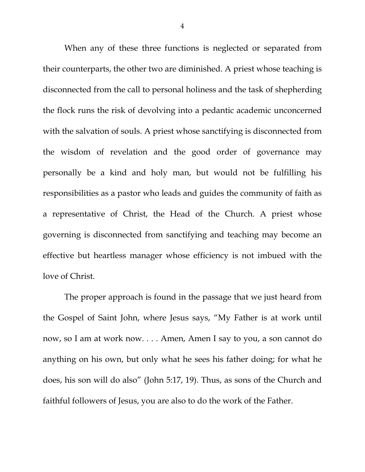When any of these three functions is neglected or separated from their counterparts, the other two are diminished. A priest whose teaching is disconnected from the call to personal holiness and the task of shepherding the flock runs the risk of devolving into a pedantic academic unconcerned with the salvation of souls. A priest whose sanctifying is disconnected from the wisdom of revelation and the good order of governance may personally be a kind and holy man, but would not be fulfilling his responsibilities as a pastor who leads and guides the community of faith as a representative of Christ, the Head of the Church. A priest whose governing is disconnected from sanctifying and teaching may become an effective but heartless manager whose efficiency is not imbued with the love of Christ.

The proper approach is found in the passage that we just heard from the Gospel of Saint John, where Jesus says, "My Father is at work until now, so I am at work now. . . . Amen, Amen I say to you, a son cannot do anything on his own, but only what he sees his father doing; for what he does, his son will do also" (John 5:17, 19). Thus, as sons of the Church and faithful followers of Jesus, you are also to do the work of the Father.